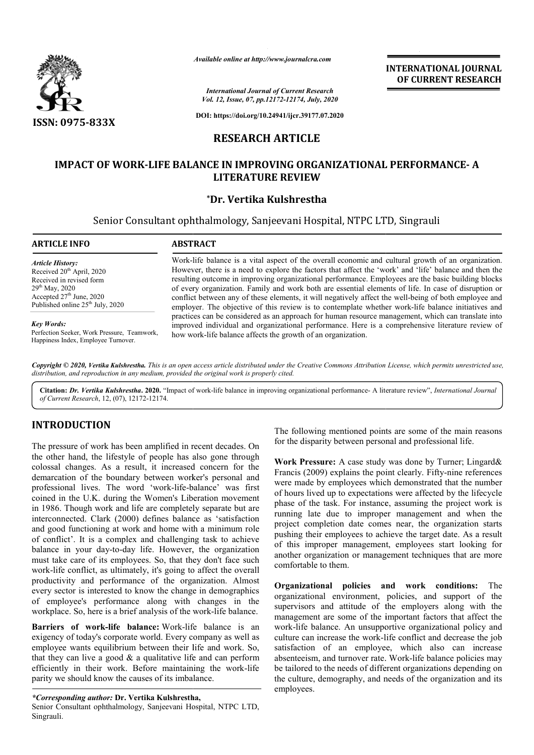

*Available online at http://www.journalcra.com*

*International Journal of Current Research Vol. 12, Issue, 07, pp.12172-12174, July, 2020*

**DOI: https://doi.org/10.24941/ijcr.39177.07.2020**

# **RESEARCH ARTICLE**

# IMPACT OF WORK-LIFE BALANCE IN IMPROVING ORGANIZATIONAL PERFORMANCE- A<br>LITERATURE REVIEW

# **\*Dr. Vertika Kulshrestha**

Senior Consultant ophthalmology, Sanjeevani Hospital, NTPC LTD, Singrauli NTPC LTD,

#### **ARTICLE INFO ABSTRACT**

*Article History:* Received 20<sup>th</sup> April, 2020 Received in revised form 29th May, 2020 Accepted  $27<sup>th</sup>$  June, 2020 Published online 25<sup>th</sup> July, 2020

#### *Key Words:*

Perfection Seeker, Work Pressure, Teamwork, Happiness Index, Employee Turnover.

Work-life balance is a vital aspect of the overall economic and cultural growth of an organization. However, there is a need to explore the factors that affect the 'work' and 'life' balance and then the resulting outcome in improving organizational performance. Employees are the basic building blocks of every organization. Family and work both are essential elements of life. In case of disruption or conflict between any of these elements, it will negatively affect the well-being of both employee and employer. The objective of this review is to contemplate whether work-life balance initiatives and practices can be considered as an approach for human resource management, which can translate into practices can be considered as an approach for human resource management, which can translate into improved individual and organizational performance. Here is a comprehensive literature review of how work work-life balance affects the growth of an organization. However, there is a need to explore the factors that affect the 'work' and 'life' balance and then the resulting outcome in improving organizational performance. Employees are the basic building blocks of every organizatio

Copyright © 2020, Vertika Kulshrestha. This is an open access article distributed under the Creative Commons Attribution License, which permits unrestricted use, *distribution, and reproduction in any medium, provided the original work is properly cited.*

Citation: Dr. Vertika Kulshrestha. 2020. "Impact of work-life balance in improving organizational performance- A literature review", *International Journal of Current Research*, 12, (07), 12172-12174.

# **INTRODUCTION**

The pressure of work has been amplified in recent decades. On the other hand, the lifestyle of people has also gone through colossal changes. As a result, it increased concern for the demarcation of the boundary between worker's personal and professional lives. The word 'work-life-balance' was first coined in the U.K. during the Women's Liberation movement in 1986. Though work and life are completely separate but are interconnected. Clark (2000) defines balance as 'satisfaction and good functioning at work and home with a minimum role of conflict'. It is a complex and challenging task to achieve professional lives. The word 'work-life-balance' was first coined in the U.K. during the Women's Liberation movement in 1986. Though work and life are completely separate but are interconnected. Clark (2000) defines balanc must take care of its employees. So, that they don't face such work-life conflict, as ultimately, it's going to affect the overall productivity and performance of the organization. Almost every sector is interested to know the change in demographics of employee's performance along with changes in the workplace. So, here is a brief analysis of the work work-life balance.

**Barriers of work-life balance:** Work-life balance is an exigency of today's corporate world. Every company as well as employee wants equilibrium between their life and work. So, that they can live a good  $\&$  a qualitative life and can perform efficiently in their work. Before maintaining the work parity we should know the causes of its imbalance. life balance is an<br> *I* company as well as<br>
ir life and work. So,<br>
life and can perform<br>
ining the work-life

*\*Corresponding author:* **Dr. Vertika Kulshrestha ertika Kulshrestha,** Senior Consultant ophthalmology, Sanjeevani Hospital, NTPC LTD, Singrauli.

The following mentioned points are some of the main reasons for the disparity between personal and professional life. The following mentioned points are some of the main reasons<br>for the disparity between personal and professional life.<br>Work Pressure: A case study was done by Turner; Lingard&

**INTERNATIONAL JOURNAL OF CURRENT RESEARCH**

Francis (2009) explains the point clearly. Fifty-nine references were made by employees which demonstrated that the number of hours lived up to expectations were affected by the lifecycle phase of the task. For instance, assuming the pr running late due to improper management and when the project completion date comes near, the organization starts pushing their employees to achieve the target date. As a result of this improper management, employees start looking for another organization or management techniques that are more comfortable to them. made by employees which demonstrated that the number<br>urs lived up to expectations were affected by the lifecycle<br>of the task. For instance, assuming the project work is running late due to improper management and when the project completion date comes near, the organization starts pushing their employees to achieve the target date. As a result of this improper management, employees start INTERNATIONAL IOURNAL<br> **OF CURRENT RESEARCH**<br> **OF CURRENT RESEARCH**<br> **OF CURRENT RESEARCH**<br> **OF CURRENT RESEARCH**<br> **CFORMANCE-A**<br> **CFORMANCE-A**<br> **CFORMANCE CFORMANCE CFORMANCE**<br> **EFORMANCE CFORMANCE CFORMANCE CFORMANCE**<br>

**Organizational policies and work conditions:** The organizational environment, policies, and support of the supervisors and attitude of the employers along with the management are some of the important factors that affect the work-life balance. An unsupportive organizational policy and culture can increase the work-life conflict and decrease the job satisfaction of an employee, which also can increase organizational environment, policies, and support of the supervisors and attitude of the employers along with the management are some of the important factors that affect the work-life balance. An unsupportive organization be tailored to the needs of different organizations depending on the culture, demography, and needs of the organization and its employees.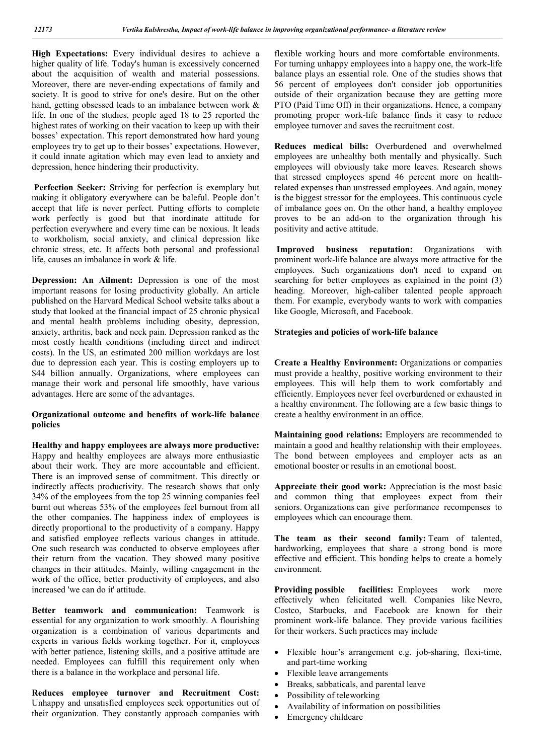**High Expectations:** Every individual desires to achieve a higher quality of life. Today's human is excessively concerned about the acquisition of wealth and material possessions. Moreover, there are never-ending expectations of family and society. It is good to strive for one's desire. But on the other hand, getting obsessed leads to an imbalance between work & life. In one of the studies, people aged 18 to 25 reported the highest rates of working on their vacation to keep up with their bosses' expectation. This report demonstrated how hard young employees try to get up to their bosses' expectations. However, it could innate agitation which may even lead to anxiety and depression, hence hindering their productivity.

**Perfection Seeker:** Striving for perfection is exemplary but making it obligatory everywhere can be baleful. People don't accept that life is never perfect. Putting efforts to complete work perfectly is good but that inordinate attitude for perfection everywhere and every time can be noxious. It leads to workholism, social anxiety, and clinical depression like chronic stress, etc. It affects both personal and professional life, causes an imbalance in work & life.

**Depression: An Ailment:** Depression is one of the most important reasons for losing productivity globally. An article published on the Harvard Medical School website talks about a study that looked at the financial impact of 25 chronic physical and mental health problems including obesity, depression, anxiety, arthritis, back and neck pain. Depression ranked as the most costly health conditions (including direct and indirect costs). In the US, an estimated 200 million workdays are lost due to depression each year. This is costing employers up to \$44 billion annually. Organizations, where employees can manage their work and personal life smoothly, have various advantages. Here are some of the advantages.

#### **Organizational outcome and benefits of work-life balance policies**

**Healthy and happy employees are always more productive:**  Happy and healthy employees are always more enthusiastic about their work. They are more accountable and efficient. There is an improved sense of commitment. This directly or indirectly affects productivity. The research shows that only 34% of the employees from the top 25 winning companies feel burnt out whereas 53% of the employees feel burnout from all the other companies. The happiness index of employees is directly proportional to the productivity of a company. Happy and satisfied employee reflects various changes in attitude. One such research was conducted to observe employees after their return from the vacation. They showed many positive changes in their attitudes. Mainly, willing engagement in the work of the office, better productivity of employees, and also increased 'we can do it' attitude.

**Better teamwork and communication:** Teamwork is essential for any organization to work smoothly. A flourishing organization is a combination of various departments and experts in various fields working together. For it, employees with better patience, listening skills, and a positive attitude are needed. Employees can fulfill this requirement only when there is a balance in the workplace and personal life.

**Reduces employee turnover and Recruitment Cost:**  Unhappy and unsatisfied employees seek opportunities out of their organization. They constantly approach companies with flexible working hours and more comfortable environments. For turning unhappy employees into a happy one, the work-life balance plays an essential role. One of the studies shows that 56 percent of employees don't consider job opportunities outside of their organization because they are getting more PTO (Paid Time Off) in their organizations. Hence, a company promoting proper work-life balance finds it easy to reduce employee turnover and saves the recruitment cost.

**Reduces medical bills:** Overburdened and overwhelmed employees are unhealthy both mentally and physically. Such employees will obviously take more leaves. Research shows that stressed employees spend 46 percent more on healthrelated expenses than unstressed employees. And again, money is the biggest stressor for the employees. This continuous cycle of imbalance goes on. On the other hand, a healthy employee proves to be an add-on to the organization through his positivity and active attitude.

**Improved business reputation:** Organizations with prominent work-life balance are always more attractive for the employees. Such organizations don't need to expand on searching for better employees as explained in the point (3) heading. Moreover, high-caliber talented people approach them. For example, everybody wants to work with companies like Google, Microsoft, and Facebook.

## **Strategies and policies of work-life balance**

**Create a Healthy Environment:** Organizations or companies must provide a healthy, positive working environment to their employees. This will help them to work comfortably and efficiently. Employees never feel overburdened or exhausted in a healthy environment. The following are a few basic things to create a healthy environment in an office.

**Maintaining good relations:** Employers are recommended to maintain a good and healthy relationship with their employees. The bond between employees and employer acts as an emotional booster or results in an emotional boost.

**Appreciate their good work:** Appreciation is the most basic and common thing that employees expect from their seniors. Organizations can give performance recompenses to employees which can encourage them.

**The team as their second family:** Team of talented, hardworking, employees that share a strong bond is more effective and efficient. This bonding helps to create a homely environment.

**Providing possible facilities:** Employees work more effectively when felicitated well. Companies like Nevro, Costco, Starbucks, and Facebook are known for their prominent work-life balance. They provide various facilities for their workers. Such practices may include

- Flexible hour's arrangement e.g. job-sharing, flexi-time, and part-time working
- Flexible leave arrangements
- Breaks, sabbaticals, and parental leave
- Possibility of teleworking
- Availability of information on possibilities
- Emergency childcare